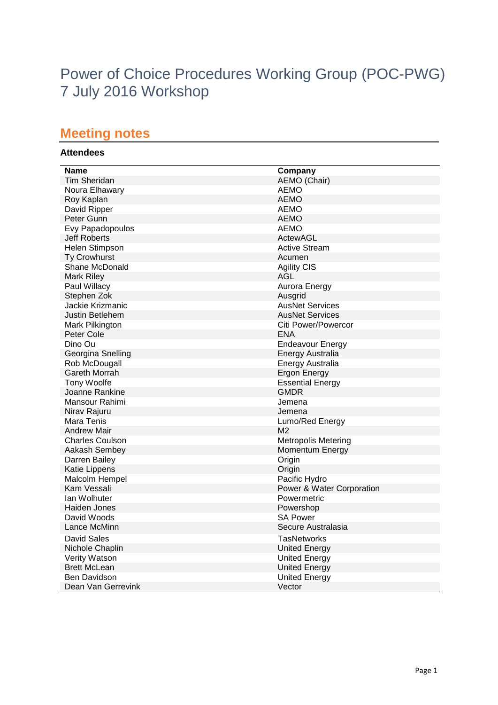# Power of Choice Procedures Working Group (POC-PWG) 7 July 2016 Workshop

## **Meeting notes**

### **Attendees**

| <b>Name</b>            | Company                    |
|------------------------|----------------------------|
| Tim Sheridan           | AEMO (Chair)               |
| Noura Elhawary         | <b>AEMO</b>                |
| Roy Kaplan             | <b>AEMO</b>                |
| David Ripper           | AEMO                       |
| Peter Gunn             | AEMO                       |
| Evy Papadopoulos       | <b>AEMO</b>                |
| <b>Jeff Roberts</b>    | ActewAGL                   |
| Helen Stimpson         | <b>Active Stream</b>       |
| <b>Ty Crowhurst</b>    | Acumen                     |
| Shane McDonald         | <b>Agility CIS</b>         |
| Mark Riley             | AGL                        |
| Paul Willacy           | Aurora Energy              |
| Stephen Zok            | Ausgrid                    |
| Jackie Krizmanic       | <b>AusNet Services</b>     |
| Justin Betlehem        | <b>AusNet Services</b>     |
| Mark Pilkington        | Citi Power/Powercor        |
| Peter Cole             | <b>ENA</b>                 |
| Dino Ou                | <b>Endeavour Energy</b>    |
| Georgina Snelling      | <b>Energy Australia</b>    |
| Rob McDougall          | Energy Australia           |
| Gareth Morrah          | <b>Ergon Energy</b>        |
| <b>Tony Woolfe</b>     | <b>Essential Energy</b>    |
| Joanne Rankine         | <b>GMDR</b>                |
| Mansour Rahimi         | Jemena                     |
| Nirav Rajuru           | Jemena                     |
| Mara Tenis             | Lumo/Red Energy            |
| <b>Andrew Mair</b>     | M <sub>2</sub>             |
| <b>Charles Coulson</b> | <b>Metropolis Metering</b> |
| Aakash Sembey          | Momentum Energy            |
| Darren Bailey          | Origin                     |
| Katie Lippens          | Origin                     |
| Malcolm Hempel         | Pacific Hydro              |
| Kam Vessali            | Power & Water Corporation  |
| lan Wolhuter           | Powermetric                |
| Haiden Jones           | Powershop                  |
| David Woods            | <b>SA Power</b>            |
| Lance McMinn           | Secure Australasia         |
| David Sales            | TasNetworks                |
| Nichole Chaplin        | <b>United Energy</b>       |
| <b>Verity Watson</b>   | <b>United Energy</b>       |
| <b>Brett McLean</b>    | <b>United Energy</b>       |
| <b>Ben Davidson</b>    | <b>United Energy</b>       |
| Dean Van Gerrevink     | Vector                     |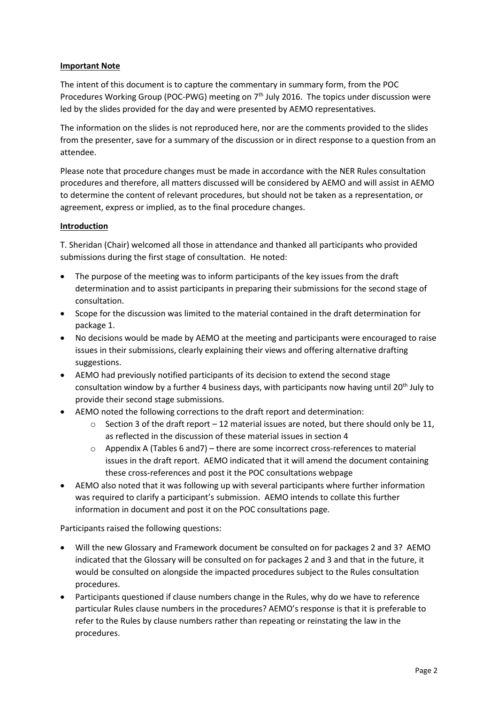#### **Important Note**

The intent of this document is to capture the commentary in summary form, from the POC Procedures Working Group (POC-PWG) meeting on 7<sup>th</sup> July 2016. The topics under discussion were led by the slides provided for the day and were presented by AEMO representatives.

The information on the slides is not reproduced here, nor are the comments provided to the slides from the presenter, save for a summary of the discussion or in direct response to a question from an attendee.

Please note that procedure changes must be made in accordance with the NER Rules consultation procedures and therefore, all matters discussed will be considered by AEMO and will assist in AEMO to determine the content of relevant procedures, but should not be taken as a representation, or agreement, express or implied, as to the final procedure changes.

#### **Introduction**

T. Sheridan (Chair) welcomed all those in attendance and thanked all participants who provided submissions during the first stage of consultation. He noted:

- The purpose of the meeting was to inform participants of the key issues from the draft determination and to assist participants in preparing their submissions for the second stage of consultation.
- Scope for the discussion was limited to the material contained in the draft determination for package 1.
- No decisions would be made by AEMO at the meeting and participants were encouraged to raise issues in their submissions, clearly explaining their views and offering alternative drafting suggestions.
- AEMO had previously notified participants of its decision to extend the second stage consultation window by a further 4 business days, with participants now having until 20<sup>th</sup> July to provide their second stage submissions.
- AEMO noted the following corrections to the draft report and determination:
	- $\circ$  Section 3 of the draft report 12 material issues are noted, but there should only be 11, as reflected in the discussion of these material issues in section 4
	- $\circ$  Appendix A (Tables 6 and 7) there are some incorrect cross-references to material issues in the draft report. AEMO indicated that it will amend the document containing these cross-references and post it the POC consultations webpage
- AEMO also noted that it was following up with several participants where further information was required to clarify a participant's submission. AEMO intends to collate this further information in document and post it on the POC consultations page.

Participants raised the following questions:

- Will the new Glossary and Framework document be consulted on for packages 2 and 3? AEMO indicated that the Glossary will be consulted on for packages 2 and 3 and that in the future, it would be consulted on alongside the impacted procedures subject to the Rules consultation procedures.
- Participants questioned if clause numbers change in the Rules, why do we have to reference particular Rules clause numbers in the procedures? AEMO's response is that it is preferable to refer to the Rules by clause numbers rather than repeating or reinstating the law in the procedures.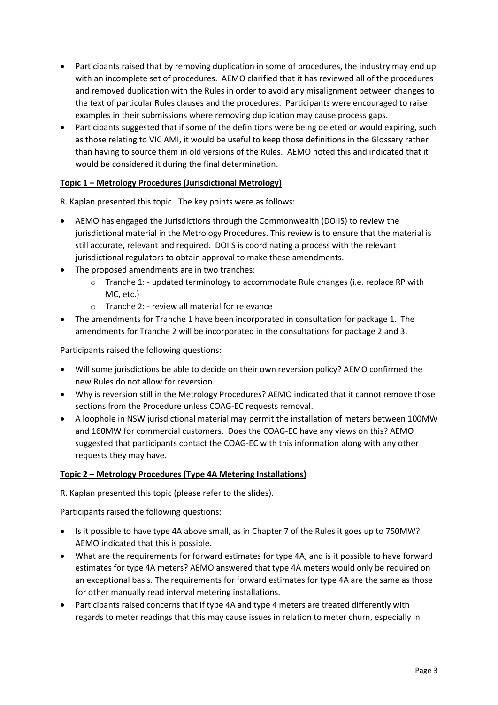- Participants raised that by removing duplication in some of procedures, the industry may end up with an incomplete set of procedures. AEMO clarified that it has reviewed all of the procedures and removed duplication with the Rules in order to avoid any misalignment between changes to the text of particular Rules clauses and the procedures. Participants were encouraged to raise examples in their submissions where removing duplication may cause process gaps.
- Participants suggested that if some of the definitions were being deleted or would expiring, such as those relating to VIC AMI, it would be useful to keep those definitions in the Glossary rather than having to source them in old versions of the Rules. AEMO noted this and indicated that it would be considered it during the final determination.

#### **Topic 1 – Metrology Procedures (Jurisdictional Metrology)**

R. Kaplan presented this topic. The key points were as follows:

- AEMO has engaged the Jurisdictions through the Commonwealth (DOIIS) to review the jurisdictional material in the Metrology Procedures. This review is to ensure that the material is still accurate, relevant and required. DOIIS is coordinating a process with the relevant jurisdictional regulators to obtain approval to make these amendments.
- The proposed amendments are in two tranches:
	- $\circ$  Tranche 1: updated terminology to accommodate Rule changes (i.e. replace RP with MC, etc.)
	- o Tranche 2: review all material for relevance
- The amendments for Tranche 1 have been incorporated in consultation for package 1. The amendments for Tranche 2 will be incorporated in the consultations for package 2 and 3.

Participants raised the following questions:

- Will some jurisdictions be able to decide on their own reversion policy? AEMO confirmed the new Rules do not allow for reversion.
- Why is reversion still in the Metrology Procedures? AEMO indicated that it cannot remove those sections from the Procedure unless COAG-EC requests removal.
- A loophole in NSW jurisdictional material may permit the installation of meters between 100MW and 160MW for commercial customers. Does the COAG-EC have any views on this? AEMO suggested that participants contact the COAG-EC with this information along with any other requests they may have.

#### **Topic 2 – Metrology Procedures (Type 4A Metering Installations)**

R. Kaplan presented this topic (please refer to the slides).

Participants raised the following questions:

- Is it possible to have type 4A above small, as in Chapter 7 of the Rules it goes up to 750MW? AEMO indicated that this is possible.
- What are the requirements for forward estimates for type 4A, and is it possible to have forward estimates for type 4A meters? AEMO answered that type 4A meters would only be required on an exceptional basis. The requirements for forward estimates for type 4A are the same as those for other manually read interval metering installations.
- Participants raised concerns that if type 4A and type 4 meters are treated differently with regards to meter readings that this may cause issues in relation to meter churn, especially in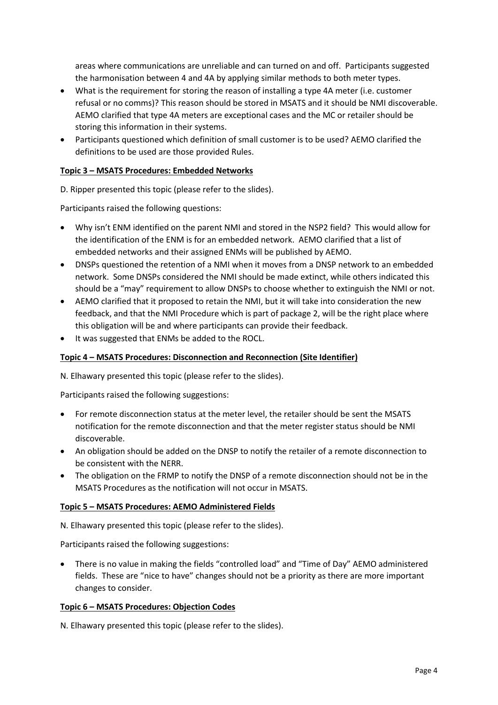areas where communications are unreliable and can turned on and off. Participants suggested the harmonisation between 4 and 4A by applying similar methods to both meter types.

- What is the requirement for storing the reason of installing a type 4A meter (i.e. customer refusal or no comms)? This reason should be stored in MSATS and it should be NMI discoverable. AEMO clarified that type 4A meters are exceptional cases and the MC or retailer should be storing this information in their systems.
- Participants questioned which definition of small customer is to be used? AEMO clarified the definitions to be used are those provided Rules.

#### **Topic 3 – MSATS Procedures: Embedded Networks**

D. Ripper presented this topic (please refer to the slides).

Participants raised the following questions:

- Why isn't ENM identified on the parent NMI and stored in the NSP2 field? This would allow for the identification of the ENM is for an embedded network. AEMO clarified that a list of embedded networks and their assigned ENMs will be published by AEMO.
- DNSPs questioned the retention of a NMI when it moves from a DNSP network to an embedded network. Some DNSPs considered the NMI should be made extinct, while others indicated this should be a "may" requirement to allow DNSPs to choose whether to extinguish the NMI or not.
- AEMO clarified that it proposed to retain the NMI, but it will take into consideration the new feedback, and that the NMI Procedure which is part of package 2, will be the right place where this obligation will be and where participants can provide their feedback.
- It was suggested that ENMs be added to the ROCL.

#### **Topic 4 – MSATS Procedures: Disconnection and Reconnection (Site Identifier)**

N. Elhawary presented this topic (please refer to the slides).

Participants raised the following suggestions:

- For remote disconnection status at the meter level, the retailer should be sent the MSATS notification for the remote disconnection and that the meter register status should be NMI discoverable.
- An obligation should be added on the DNSP to notify the retailer of a remote disconnection to be consistent with the NERR.
- The obligation on the FRMP to notify the DNSP of a remote disconnection should not be in the MSATS Procedures as the notification will not occur in MSATS.

#### **Topic 5 – MSATS Procedures: AEMO Administered Fields**

N. Elhawary presented this topic (please refer to the slides).

Participants raised the following suggestions:

 There is no value in making the fields "controlled load" and "Time of Day" AEMO administered fields. These are "nice to have" changes should not be a priority as there are more important changes to consider.

#### **Topic 6 – MSATS Procedures: Objection Codes**

N. Elhawary presented this topic (please refer to the slides).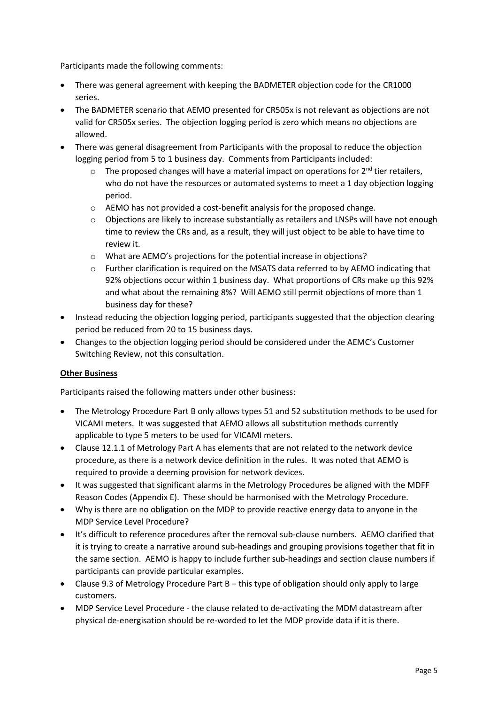Participants made the following comments:

- There was general agreement with keeping the BADMETER objection code for the CR1000 series.
- The BADMETER scenario that AEMO presented for CR505x is not relevant as objections are not valid for CR505x series. The objection logging period is zero which means no objections are allowed.
- There was general disagreement from Participants with the proposal to reduce the objection logging period from 5 to 1 business day. Comments from Participants included:
	- $\circ$  The proposed changes will have a material impact on operations for  $2^{nd}$  tier retailers, who do not have the resources or automated systems to meet a 1 day objection logging period.
	- o AEMO has not provided a cost-benefit analysis for the proposed change.
	- o Objections are likely to increase substantially as retailers and LNSPs will have not enough time to review the CRs and, as a result, they will just object to be able to have time to review it.
	- o What are AEMO's projections for the potential increase in objections?
	- o Further clarification is required on the MSATS data referred to by AEMO indicating that 92% objections occur within 1 business day. What proportions of CRs make up this 92% and what about the remaining 8%? Will AEMO still permit objections of more than 1 business day for these?
- Instead reducing the objection logging period, participants suggested that the objection clearing period be reduced from 20 to 15 business days.
- Changes to the objection logging period should be considered under the AEMC's Customer Switching Review, not this consultation.

#### **Other Business**

Participants raised the following matters under other business:

- The Metrology Procedure Part B only allows types 51 and 52 substitution methods to be used for VICAMI meters. It was suggested that AEMO allows all substitution methods currently applicable to type 5 meters to be used for VICAMI meters.
- Clause 12.1.1 of Metrology Part A has elements that are not related to the network device procedure, as there is a network device definition in the rules. It was noted that AEMO is required to provide a deeming provision for network devices.
- It was suggested that significant alarms in the Metrology Procedures be aligned with the MDFF Reason Codes (Appendix E). These should be harmonised with the Metrology Procedure.
- Why is there are no obligation on the MDP to provide reactive energy data to anyone in the MDP Service Level Procedure?
- It's difficult to reference procedures after the removal sub-clause numbers. AEMO clarified that it is trying to create a narrative around sub-headings and grouping provisions together that fit in the same section. AEMO is happy to include further sub-headings and section clause numbers if participants can provide particular examples.
- Clause 9.3 of Metrology Procedure Part B this type of obligation should only apply to large customers.
- MDP Service Level Procedure the clause related to de-activating the MDM datastream after physical de-energisation should be re-worded to let the MDP provide data if it is there.